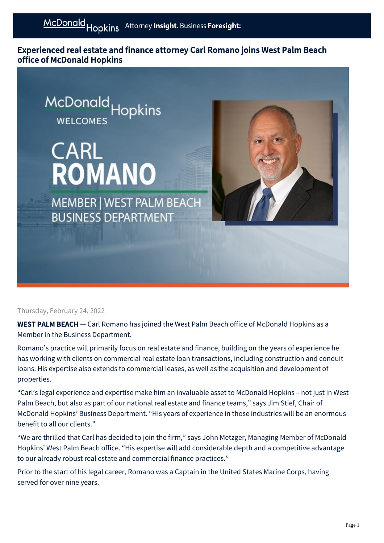Experienced real estate and finance attorney Carl Romano joins West Palm Beach office of McDonald Hopkins



## Thursday, February 24, 2022

WEST PALM BEACH - Carl Romano has joined the West Palm Beach office of McDonald Hopkins as a Member in the Business Department.

Romano's practice will primarily focus on real estate and finance, building on the years of experience he has working with clients on commercial real estate loan transactions, including construction and conduit loans. His expertise also extends to commercial leases, as well as the acquisition and development of properties.

"Carl's legal experience and expertise make him an invaluable asset to McDonald Hopkins – not just in West Palm Beach, but also as part of our national real estate and finance teams," says Jim Stief, Chair of McDonald Hopkins' Business Department. "His years of experience in those industries will be an enormous benefit to all our clients."

"We are thrilled that Carl has decided to join the firm," says John Metzger, Managing Member of McDonald Hopkins' West Palm Beach office. "His expertise will add considerable depth and a competitive advantage to our already robust real estate and commercial finance practices."

Prior to the start of his legal career, Romano was a Captain in the United States Marine Corps, having served for over nine years.